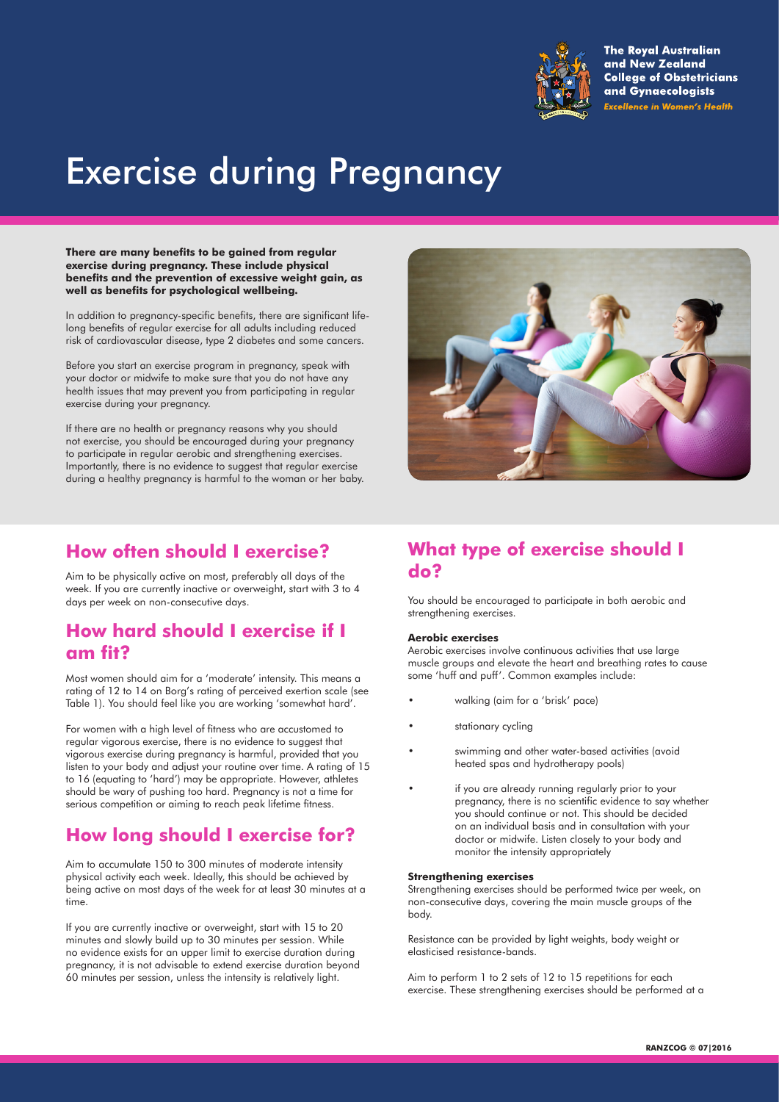

**The Royal Australian** and New Zealand **College of Obstetricians** and Gynaecologists **Excellence in Women's Health** 

# Exercise during Pregnancy

**There are many benefits to be gained from regular exercise during pregnancy. These include physical benefits and the prevention of excessive weight gain, as well as benefits for psychological wellbeing.** 

In addition to pregnancy-specific benefits, there are significant lifelong benefits of regular exercise for all adults including reduced risk of cardiovascular disease, type 2 diabetes and some cancers.

Before you start an exercise program in pregnancy, speak with your doctor or midwife to make sure that you do not have any health issues that may prevent you from participating in regular exercise during your pregnancy.

If there are no health or pregnancy reasons why you should not exercise, you should be encouraged during your pregnancy to participate in regular aerobic and strengthening exercises. Importantly, there is no evidence to suggest that regular exercise during a healthy pregnancy is harmful to the woman or her baby.

## **How often should I exercise?**

Aim to be physically active on most, preferably all days of the week. If you are currently inactive or overweight, start with 3 to 4 days per week on non-consecutive days.

## **How hard should I exercise if I am fit?**

Most women should aim for a 'moderate' intensity. This means a rating of 12 to 14 on Borg's rating of perceived exertion scale (see Table 1). You should feel like you are working 'somewhat hard'.

For women with a high level of fitness who are accustomed to regular vigorous exercise, there is no evidence to suggest that vigorous exercise during pregnancy is harmful, provided that you listen to your body and adjust your routine over time. A rating of 15 to 16 (equating to 'hard') may be appropriate. However, athletes should be wary of pushing too hard. Pregnancy is not a time for serious competition or aiming to reach peak lifetime fitness.

# **How long should I exercise for?**

Aim to accumulate 150 to 300 minutes of moderate intensity physical activity each week. Ideally, this should be achieved by being active on most days of the week for at least 30 minutes at a time.

If you are currently inactive or overweight, start with 15 to 20 minutes and slowly build up to 30 minutes per session. While no evidence exists for an upper limit to exercise duration during pregnancy, it is not advisable to extend exercise duration beyond 60 minutes per session, unless the intensity is relatively light.



## **What type of exercise should I do?**

You should be encouraged to participate in both aerobic and strengthening exercises.

## **Aerobic exercises**

Aerobic exercises involve continuous activities that use large muscle groups and elevate the heart and breathing rates to cause some 'huff and puff'. Common examples include:

- walking (aim for a 'brisk' pace)
- stationary cycling
- swimming and other water-based activities (avoid heated spas and hydrotherapy pools)
- if you are already running regularly prior to your pregnancy, there is no scientific evidence to say whether you should continue or not. This should be decided on an individual basis and in consultation with your doctor or midwife. Listen closely to your body and monitor the intensity appropriately

### **Strengthening exercises**

Strengthening exercises should be performed twice per week, on non-consecutive days, covering the main muscle groups of the body.

Resistance can be provided by light weights, body weight or elasticised resistance-bands.

Aim to perform 1 to 2 sets of 12 to 15 repetitions for each exercise. These strengthening exercises should be performed at a